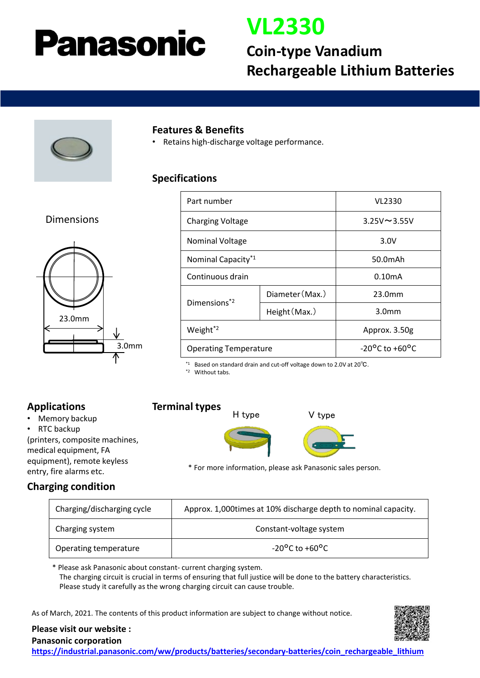# Panasonic

## **VL2330**

### **Coin-type Vanadium Rechargeable Lithium Batteries**



#### **Features & Benefits**

• Retains high-discharge voltage performance.

#### **Specifications**

#### Dimensions



| Part number                    |                 | VL2330                             |
|--------------------------------|-----------------|------------------------------------|
| <b>Charging Voltage</b>        |                 | $3.25V \sim 3.55V$                 |
| Nominal Voltage                |                 | 3.0V                               |
| Nominal Capacity <sup>*1</sup> |                 | 50.0mAh                            |
| Continuous drain               |                 | $0.10m$ A                          |
| Dimensions <sup>*2</sup>       | Diameter (Max.) | 23.0mm                             |
|                                | Height (Max.)   | 3.0 <sub>mm</sub>                  |
| Weight <sup>*2</sup>           |                 | Approx. 3.50g                      |
| <b>Operating Temperature</b>   |                 | $-20^{\circ}$ C to $+60^{\circ}$ C |

\*1 Based on standard drain and cut-off voltage down to 2.0V at 20℃.

\*2 Without tabs.

#### **Applications**

- Memory backup
- RTC backup

(printers, composite machines, medical equipment, FA equipment), remote keyless entry, fire alarms etc.

**Terminal types**





\* For more information, please ask Panasonic sales person.

#### **Charging condition**

| Charging/discharging cycle | Approx. 1,000 times at 10% discharge depth to nominal capacity. |  |
|----------------------------|-----------------------------------------------------------------|--|
| Charging system            | Constant-voltage system                                         |  |
| Operating temperature      | $-20^{\circ}$ C to $+60^{\circ}$ C                              |  |

\* Please ask Panasonic about constant- current charging system. The charging circuit is crucial in terms of ensuring that full justice will be done to the battery characteristics. Please study it carefully as the wrong charging circuit can cause trouble.

As of March, 2021. The contents of this product information are subject to change without notice.



**Please visit our website :**

**Panasonic corporation [https://industrial.panasonic.com/ww/products/batteries/secondary-batteries/coin\\_rechargeable\\_lithium](https://industrial.panasonic.com/ww/products/batteries/secondary-batteries/coin_rechargeable_lithium)**